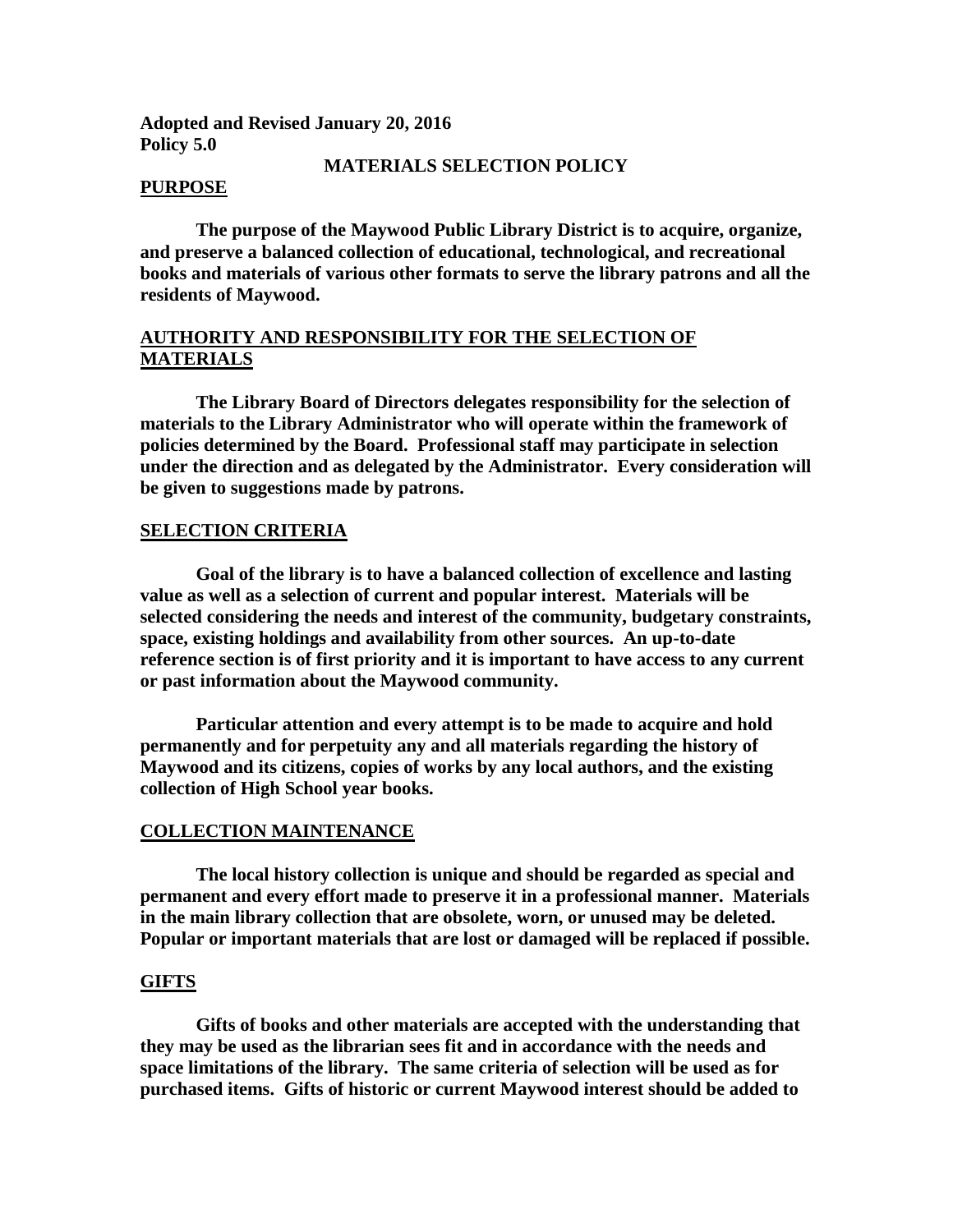**Adopted and Revised January 20, 2016 Policy 5.0**

### **MATERIALS SELECTION POLICY**

#### **PURPOSE**

**The purpose of the Maywood Public Library District is to acquire, organize, and preserve a balanced collection of educational, technological, and recreational books and materials of various other formats to serve the library patrons and all the residents of Maywood.**

## **AUTHORITY AND RESPONSIBILITY FOR THE SELECTION OF MATERIALS**

**The Library Board of Directors delegates responsibility for the selection of materials to the Library Administrator who will operate within the framework of policies determined by the Board. Professional staff may participate in selection under the direction and as delegated by the Administrator. Every consideration will be given to suggestions made by patrons.**

### **SELECTION CRITERIA**

**Goal of the library is to have a balanced collection of excellence and lasting value as well as a selection of current and popular interest. Materials will be selected considering the needs and interest of the community, budgetary constraints, space, existing holdings and availability from other sources. An up-to-date reference section is of first priority and it is important to have access to any current or past information about the Maywood community.**

**Particular attention and every attempt is to be made to acquire and hold permanently and for perpetuity any and all materials regarding the history of Maywood and its citizens, copies of works by any local authors, and the existing collection of High School year books.** 

#### **COLLECTION MAINTENANCE**

**The local history collection is unique and should be regarded as special and permanent and every effort made to preserve it in a professional manner. Materials in the main library collection that are obsolete, worn, or unused may be deleted. Popular or important materials that are lost or damaged will be replaced if possible.**

#### **GIFTS**

**Gifts of books and other materials are accepted with the understanding that they may be used as the librarian sees fit and in accordance with the needs and space limitations of the library. The same criteria of selection will be used as for purchased items. Gifts of historic or current Maywood interest should be added to**